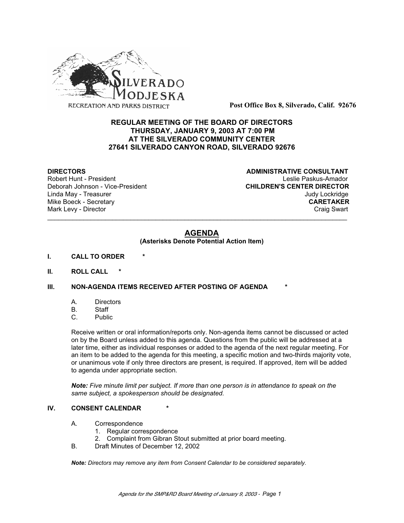

**Post Office Box 8, Silverado, Calif. 92676**

# **REGULAR MEETING OF THE BOARD OF DIRECTORS THURSDAY, JANUARY 9, 2003 AT 7:00 PM AT THE SILVERADO COMMUNITY CENTER 27641 SILVERADO CANYON ROAD, SILVERADO 92676**

Deborah Johnson - Vice-President

**DIRECTORS ADMINISTRATIVE CONSULTANT** Robert Hunt - President<br>
Deborah Johnson - Vice-President 
Leslie Paskus-Amador<br>
CHILDREN'S CENTER DIRECTOR Linda May - Treasurer Judy Lockridge Mike Boeck - Secretary **CARETAKER** Mark Levy - Director **Craig Swart** Craig Swart Craig Swart Craig Swart

# **AGENDA**

\_\_\_\_\_\_\_\_\_\_\_\_\_\_\_\_\_\_\_\_\_\_\_\_\_\_\_\_\_\_\_\_\_\_\_\_\_\_\_\_\_\_\_\_\_\_\_\_\_\_\_\_\_\_\_\_\_\_\_\_\_\_\_\_\_\_\_\_\_\_\_\_\_\_\_\_\_\_\_\_\_\_\_

#### **(Asterisks Denote Potential Action Item)**

- **I. CALL TO ORDER \***
- **II. ROLL CALL \***

# **III. NON-AGENDA ITEMS RECEIVED AFTER POSTING OF AGENDA**

- A. Directors
- B. Staff
- C. Public

Receive written or oral information/reports only. Non-agenda items cannot be discussed or acted on by the Board unless added to this agenda. Questions from the public will be addressed at a later time, either as individual responses or added to the agenda of the next regular meeting. For an item to be added to the agenda for this meeting, a specific motion and two-thirds majority vote, or unanimous vote if only three directors are present, is required. If approved, item will be added to agenda under appropriate section.

*Note: Five minute limit per subject. If more than one person is in attendance to speak on the same subject, a spokesperson should be designated.*

#### **IV. CONSENT CALENDAR**

- A. Correspondence
	- 1. Regular correspondence
	- 2. Complaint from Gibran Stout submitted at prior board meeting.
- B. Draft Minutes of December 12, 2002

*Note: Directors may remove any item from Consent Calendar to be considered separately.*